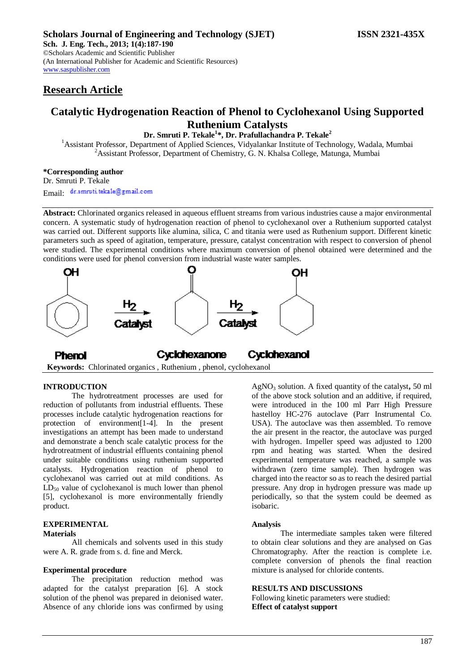# **Research Article**

# **Catalytic Hydrogenation Reaction of Phenol to Cyclohexanol Using Supported Ruthenium Catalysts**

**Dr. Smruti P. Tekale<sup>1</sup> \*, Dr. Prafullachandra P. Tekale<sup>2</sup>**

<sup>1</sup>Assistant Professor, Department of Applied Sciences, Vidyalankar Institute of Technology, Wadala, Mumbai <sup>2</sup> Assistant Professor, Department of Chemistry, G. N. Khalsa College, Matunga, Mumbai

#### **\*Corresponding author**

Dr. Smruti P. Tekale

Email: dr.smruti.tekale@gmail.com

**Abstract:** Chlorinated organics released in aqueous effluent streams from various industries cause a major environmental concern. A systematic study of hydrogenation reaction of phenol to cyclohexanol over a Ruthenium supported catalyst was carried out. Different supports like alumina, silica, C and titania were used as Ruthenium support. Different kinetic parameters such as speed of agitation, temperature, pressure, catalyst concentration with respect to conversion of phenol were studied. The experimental conditions where maximum conversion of phenol obtained were determined and the conditions were used for phenol conversion from industrial waste water samples.



Cyclohexanol Cyclohexanone **Phenol Keywords:** Chlorinated organics , Ruthenium , phenol, cyclohexanol

#### **INTRODUCTION**

The hydrotreatment processes are used for reduction of pollutants from industrial effluents. These processes include catalytic hydrogenation reactions for protection of environment[1-4]. In the present investigations an attempt has been made to understand and demonstrate a bench scale catalytic process for the hydrotreatment of industrial effluents containing phenol under suitable conditions using ruthenium supported catalysts. Hydrogenation reaction of phenol to cyclohexanol was carried out at mild conditions. As  $LD_{50}$  value of cyclohexanol is much lower than phenol [5], cyclohexanol is more environmentally friendly product.

#### **EXPERIMENTAL Materials**

All chemicals and solvents used in this study were A. R. grade from s. d. fine and Merck.

#### **Experimental procedure**

The precipitation reduction method was adapted for the catalyst preparation [6]. A stock solution of the phenol was prepared in deionised water. Absence of any chloride ions was confirmed by using AgNO<sup>3</sup> solution. A fixed quantity of the catalyst**,** 50 ml of the above stock solution and an additive, if required, were introduced in the 100 ml Parr High Pressure hastelloy HC-276 autoclave (Parr Instrumental Co. USA). The autoclave was then assembled. To remove the air present in the reactor, the autoclave was purged with hydrogen. Impeller speed was adjusted to 1200 rpm and heating was started. When the desired experimental temperature was reached, a sample was withdrawn (zero time sample). Then hydrogen was charged into the reactor so as to reach the desired partial pressure. Any drop in hydrogen pressure was made up periodically, so that the system could be deemed as isobaric.

#### **Analysis**

The intermediate samples taken were filtered to obtain clear solutions and they are analysed on Gas Chromatography. After the reaction is complete i.e. complete conversion of phenols the final reaction mixture is analysed for chloride contents.

#### **RESULTS AND DISCUSSIONS**

Following kinetic parameters were studied: **Effect of catalyst support**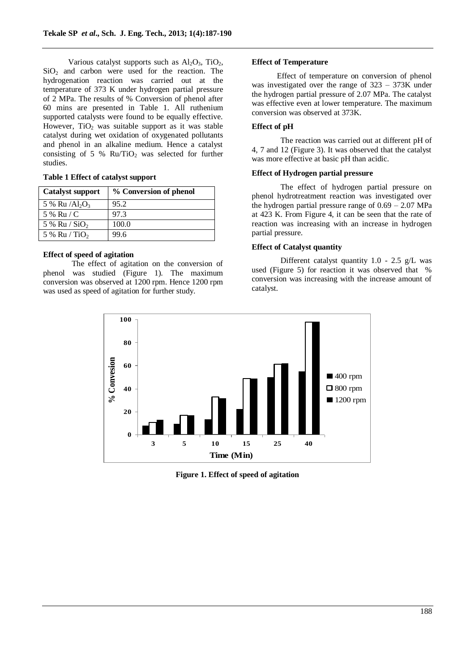Various catalyst supports such as  $Al_2O_3$ , TiO<sub>2</sub>,  $SiO<sub>2</sub>$  and carbon were used for the reaction. The hydrogenation reaction was carried out at the temperature of 373 K under hydrogen partial pressure of 2 MPa. The results of % Conversion of phenol after 60 mins are presented in Table 1. All ruthenium supported catalysts were found to be equally effective. However,  $TiO<sub>2</sub>$  was suitable support as it was stable catalyst during wet oxidation of oxygenated pollutants and phenol in an alkaline medium. Hence a catalyst consisting of 5 %  $Ru/TiO<sub>2</sub>$  was selected for further studies.

#### **Table 1 Effect of catalyst support**

| <b>Catalyst support</b>     | % Conversion of phenol |
|-----------------------------|------------------------|
| 5 % Ru $/Al_2O_3$           | 95.2                   |
| 5 % Ru / C                  | 97.3                   |
| 5 % Ru $\sqrt{SiO_2}$       | 100.0                  |
| $5\%$ Ru / TiO <sub>2</sub> | 99.6                   |

## **Effect of speed of agitation**

The effect of agitation on the conversion of phenol was studied (Figure 1). The maximum conversion was observed at 1200 rpm. Hence 1200 rpm was used as speed of agitation for further study.

## **Effect of Temperature**

Effect of temperature on conversion of phenol was investigated over the range of 323 – 373K under the hydrogen partial pressure of 2.07 MPa. The catalyst was effective even at lower temperature. The maximum conversion was observed at 373K.

## **Effect of pH**

The reaction was carried out at different pH of 4, 7 and 12 (Figure 3). It was observed that the catalyst was more effective at basic pH than acidic.

## **Effect of Hydrogen partial pressure**

The effect of hydrogen partial pressure on phenol hydrotreatment reaction was investigated over the hydrogen partial pressure range of  $0.69 - 2.07$  MPa at 423 K. From Figure 4, it can be seen that the rate of reaction was increasing with an increase in hydrogen partial pressure.

## **Effect of Catalyst quantity**

Different catalyst quantity 1.0 - 2.5 g/L was used (Figure 5) for reaction it was observed that % conversion was increasing with the increase amount of catalyst.



**Figure 1. Effect of speed of agitation**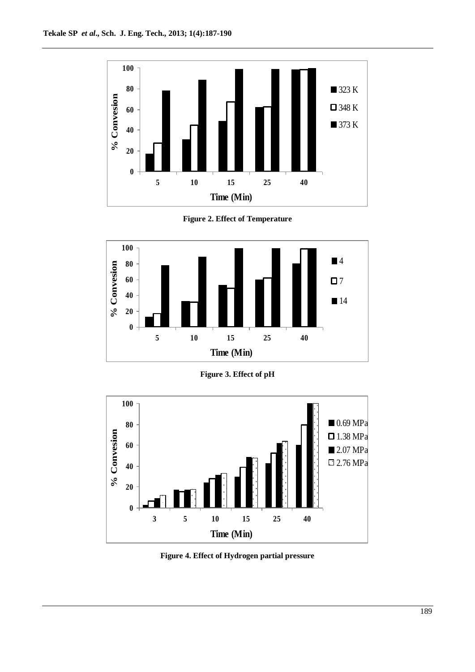

**Figure 2. Effect of Temperature**



**Figure 3. Effect of pH**



**Figure 4. Effect of Hydrogen partial pressure**